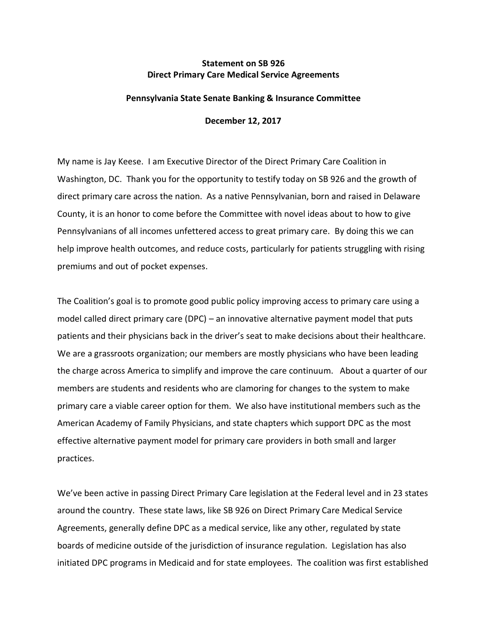## **Statement on SB 926 Direct Primary Care Medical Service Agreements**

## **Pennsylvania State Senate Banking & Insurance Committee**

**December 12, 2017**

My name is Jay Keese. I am Executive Director of the Direct Primary Care Coalition in Washington, DC. Thank you for the opportunity to testify today on SB 926 and the growth of direct primary care across the nation. As a native Pennsylvanian, born and raised in Delaware County, it is an honor to come before the Committee with novel ideas about to how to give Pennsylvanians of all incomes unfettered access to great primary care. By doing this we can help improve health outcomes, and reduce costs, particularly for patients struggling with rising premiums and out of pocket expenses.

The Coalition's goal is to promote good public policy improving access to primary care using a model called direct primary care (DPC) – an innovative alternative payment model that puts patients and their physicians back in the driver's seat to make decisions about their healthcare. We are a grassroots organization; our members are mostly physicians who have been leading the charge across America to simplify and improve the care continuum. About a quarter of our members are students and residents who are clamoring for changes to the system to make primary care a viable career option for them. We also have institutional members such as the American Academy of Family Physicians, and state chapters which support DPC as the most effective alternative payment model for primary care providers in both small and larger practices.

We've been active in passing Direct Primary Care legislation at the Federal level and in 23 states around the country. These state laws, like SB 926 on Direct Primary Care Medical Service Agreements, generally define DPC as a medical service, like any other, regulated by state boards of medicine outside of the jurisdiction of insurance regulation. Legislation has also initiated DPC programs in Medicaid and for state employees. The coalition was first established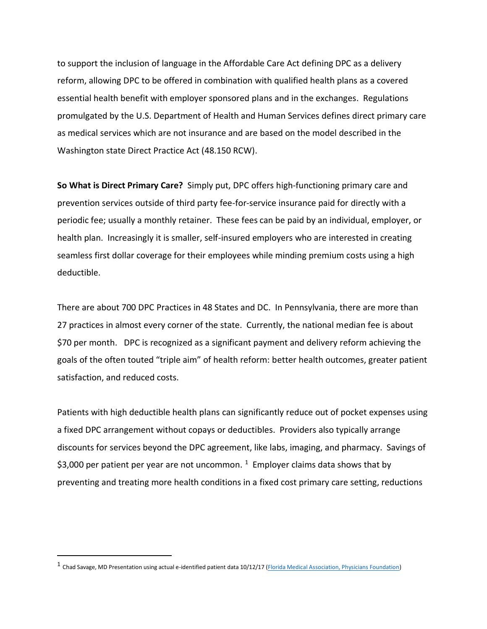to support the inclusion of language in the Affordable Care Act defining DPC as a delivery reform, allowing DPC to be offered in combination with qualified health plans as a covered essential health benefit with employer sponsored plans and in the exchanges. Regulations promulgated by the U.S. Department of Health and Human Services defines direct primary care as medical services which are not insurance and are based on the model described in the Washington state Direct Practice Act (48.150 RCW).

**So What is Direct Primary Care?** Simply put, DPC offers high-functioning primary care and prevention services outside of third party fee-for-service insurance paid for directly with a periodic fee; usually a monthly retainer. These fees can be paid by an individual, employer, or health plan. Increasingly it is smaller, self-insured employers who are interested in creating seamless first dollar coverage for their employees while minding premium costs using a high deductible.

There are about 700 DPC Practices in 48 States and DC. In Pennsylvania, there are more than 27 practices in almost every corner of the state. Currently, the national median fee is about \$70 per month. DPC is recognized as a significant payment and delivery reform achieving the goals of the often touted "triple aim" of health reform: better health outcomes, greater patient satisfaction, and reduced costs.

Patients with high deductible health plans can significantly reduce out of pocket expenses using a fixed DPC arrangement without copays or deductibles. Providers also typically arrange discounts for services beyond the DPC agreement, like labs, imaging, and pharmacy. Savings of \$3,000 per patient per year are not uncommon.  $1$  Employer claims data shows that by preventing and treating more health conditions in a fixed cost primary care setting, reductions

 $\overline{a}$ 

<sup>1</sup> Chad Savage, MD Presentation using actual e-identified patient data 10/12/17 [\(Florida Medical Association, Physicians Foundation\)](https://d4pcfoundation.org/dpc2017/)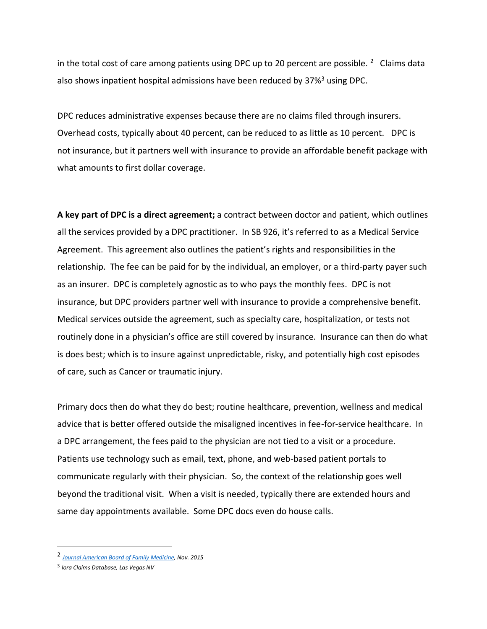in the total cost of care among patients using DPC up to 20 percent are possible.  $2$  Claims data also shows inpatient hospital admissions have been reduced by 37%<sup>3</sup> using DPC.

DPC reduces administrative expenses because there are no claims filed through insurers. Overhead costs, typically about 40 percent, can be reduced to as little as 10 percent. DPC is not insurance, but it partners well with insurance to provide an affordable benefit package with what amounts to first dollar coverage.

**A key part of DPC is a direct agreement;** a contract between doctor and patient, which outlines all the services provided by a DPC practitioner. In SB 926, it's referred to as a Medical Service Agreement.This agreement also outlines the patient's rights and responsibilities in the relationship. The fee can be paid for by the individual, an employer, or a third-party payer such as an insurer. DPC is completely agnostic as to who pays the monthly fees. DPC is not insurance, but DPC providers partner well with insurance to provide a comprehensive benefit. Medical services outside the agreement, such as specialty care, hospitalization, or tests not routinely done in a physician's office are still covered by insurance. Insurance can then do what is does best; which is to insure against unpredictable, risky, and potentially high cost episodes of care, such as Cancer or traumatic injury.

Primary docs then do what they do best; routine healthcare, prevention, wellness and medical advice that is better offered outside the misaligned incentives in fee-for-service healthcare. In a DPC arrangement, the fees paid to the physician are not tied to a visit or a procedure. Patients use technology such as email, text, phone, and web-based patient portals to communicate regularly with their physician. So, the context of the relationship goes well beyond the traditional visit. When a visit is needed, typically there are extended hours and same day appointments available. Some DPC docs even do house calls.

 $\overline{a}$ 

<sup>2</sup> *[Journal American Board of Family Medicine,](http://www.jabfm.org/content/28/6/793.full.pdf+html) Nov. 2015*

<sup>3</sup> *Iora Claims Database, Las Vegas NV*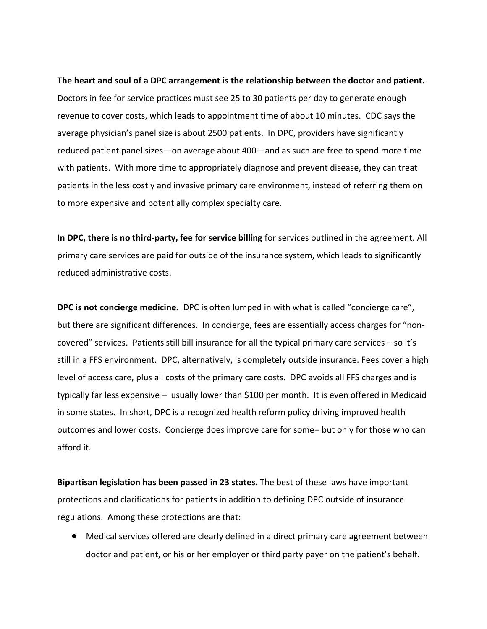**The heart and soul of a DPC arrangement is the relationship between the doctor and patient.** Doctors in fee for service practices must see 25 to 30 patients per day to generate enough revenue to cover costs, which leads to appointment time of about 10 minutes. CDC says the average physician's panel size is about 2500 patients. In DPC, providers have significantly reduced patient panel sizes—on average about 400—and as such are free to spend more time with patients. With more time to appropriately diagnose and prevent disease, they can treat patients in the less costly and invasive primary care environment, instead of referring them on to more expensive and potentially complex specialty care.

**In DPC, there is no third-party, fee for service billing** for services outlined in the agreement. All primary care services are paid for outside of the insurance system, which leads to significantly reduced administrative costs.

**DPC is not concierge medicine.** DPC is often lumped in with what is called "concierge care", but there are significant differences. In concierge, fees are essentially access charges for "noncovered" services. Patients still bill insurance for all the typical primary care services – so it's still in a FFS environment. DPC, alternatively, is completely outside insurance. Fees cover a high level of access care, plus all costs of the primary care costs. DPC avoids all FFS charges and is typically far less expensive – usually lower than \$100 per month. It is even offered in Medicaid in some states. In short, DPC is a recognized health reform policy driving improved health outcomes and lower costs. Concierge does improve care for some– but only for those who can afford it.

**Bipartisan legislation has been passed in 23 states.** The best of these laws have important protections and clarifications for patients in addition to defining DPC outside of insurance regulations. Among these protections are that:

• Medical services offered are clearly defined in a direct primary care agreement between doctor and patient, or his or her employer or third party payer on the patient's behalf.